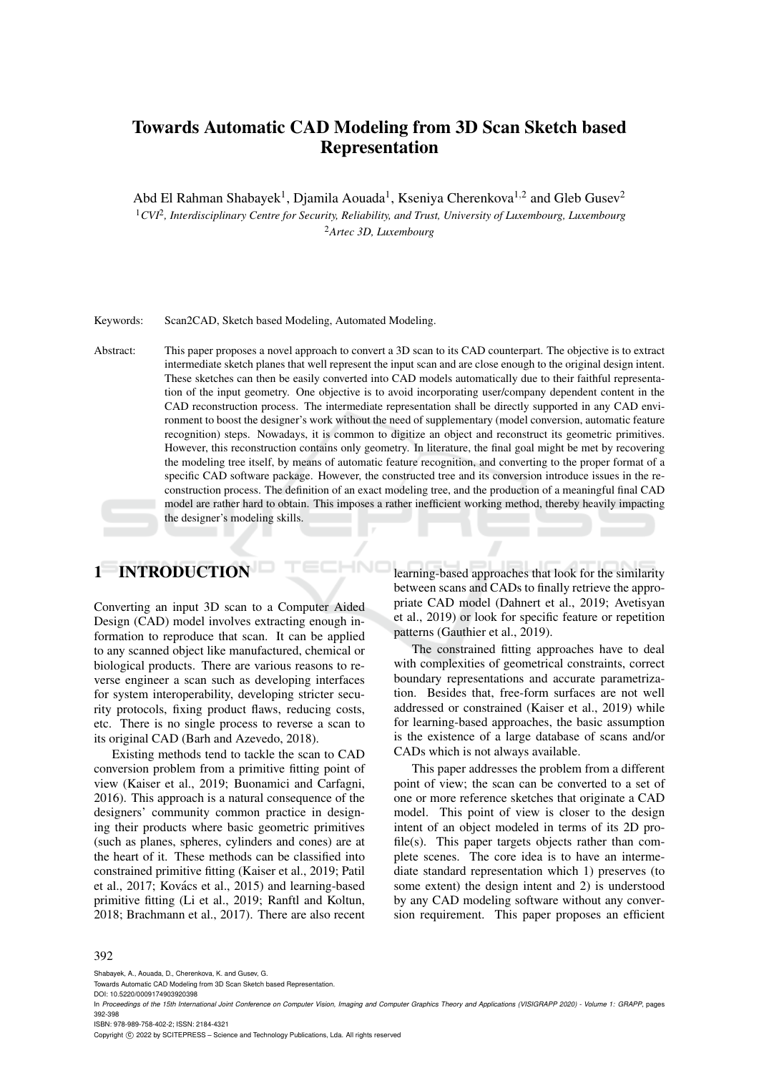# Towards Automatic CAD Modeling from 3D Scan Sketch based Representation

Abd El Rahman Shabayek<sup>1</sup>, Djamila Aouada<sup>1</sup>, Kseniya Cherenkova<sup>1,2</sup> and Gleb Gusev<sup>2</sup>

<sup>1</sup>CVI<sup>2</sup>, Interdisciplinary Centre for Security, Reliability, and Trust, University of Luxembourg, Luxembourg <sup>2</sup>*Artec 3D, Luxembourg*

Keywords: Scan2CAD, Sketch based Modeling, Automated Modeling.

Abstract: This paper proposes a novel approach to convert a 3D scan to its CAD counterpart. The objective is to extract intermediate sketch planes that well represent the input scan and are close enough to the original design intent. These sketches can then be easily converted into CAD models automatically due to their faithful representation of the input geometry. One objective is to avoid incorporating user/company dependent content in the CAD reconstruction process. The intermediate representation shall be directly supported in any CAD environment to boost the designer's work without the need of supplementary (model conversion, automatic feature recognition) steps. Nowadays, it is common to digitize an object and reconstruct its geometric primitives. However, this reconstruction contains only geometry. In literature, the final goal might be met by recovering the modeling tree itself, by means of automatic feature recognition, and converting to the proper format of a specific CAD software package. However, the constructed tree and its conversion introduce issues in the reconstruction process. The definition of an exact modeling tree, and the production of a meaningful final CAD model are rather hard to obtain. This imposes a rather inefficient working method, thereby heavily impacting the designer's modeling skills.

# 1 INTRODUCTION

Converting an input 3D scan to a Computer Aided Design (CAD) model involves extracting enough information to reproduce that scan. It can be applied to any scanned object like manufactured, chemical or biological products. There are various reasons to reverse engineer a scan such as developing interfaces for system interoperability, developing stricter security protocols, fixing product flaws, reducing costs, etc. There is no single process to reverse a scan to its original CAD (Barh and Azevedo, 2018).

Existing methods tend to tackle the scan to CAD conversion problem from a primitive fitting point of view (Kaiser et al., 2019; Buonamici and Carfagni, 2016). This approach is a natural consequence of the designers' community common practice in designing their products where basic geometric primitives (such as planes, spheres, cylinders and cones) are at the heart of it. These methods can be classified into constrained primitive fitting (Kaiser et al., 2019; Patil et al., 2017; Kovács et al., 2015) and learning-based primitive fitting (Li et al., 2019; Ranftl and Koltun, 2018; Brachmann et al., 2017). There are also recent learning-based approaches that look for the similarity between scans and CADs to finally retrieve the appropriate CAD model (Dahnert et al., 2019; Avetisyan et al., 2019) or look for specific feature or repetition patterns (Gauthier et al., 2019).

The constrained fitting approaches have to deal with complexities of geometrical constraints, correct boundary representations and accurate parametrization. Besides that, free-form surfaces are not well addressed or constrained (Kaiser et al., 2019) while for learning-based approaches, the basic assumption is the existence of a large database of scans and/or CADs which is not always available.

This paper addresses the problem from a different point of view; the scan can be converted to a set of one or more reference sketches that originate a CAD model. This point of view is closer to the design intent of an object modeled in terms of its 2D profile(s). This paper targets objects rather than complete scenes. The core idea is to have an intermediate standard representation which 1) preserves (to some extent) the design intent and 2) is understood by any CAD modeling software without any conversion requirement. This paper proposes an efficient

#### 392

Shabayek, A., Aouada, D., Cherenkova, K. and Gusev, G.

DOI: 10.5220/0009174903920398

ISBN: 978-989-758-402-2; ISSN: 2184-4321

Copyright (C) 2022 by SCITEPRESS - Science and Technology Publications, Lda. All rights reserved

Towards Automatic CAD Modeling from 3D Scan Sketch based Representation.

In *Proceedings of the 15th International Joint Conference on Computer Vision, Imaging and Computer Graphics Theory and Applications (VISIGRAPP 2020) - Volume 1: GRAPP*, pages 392-398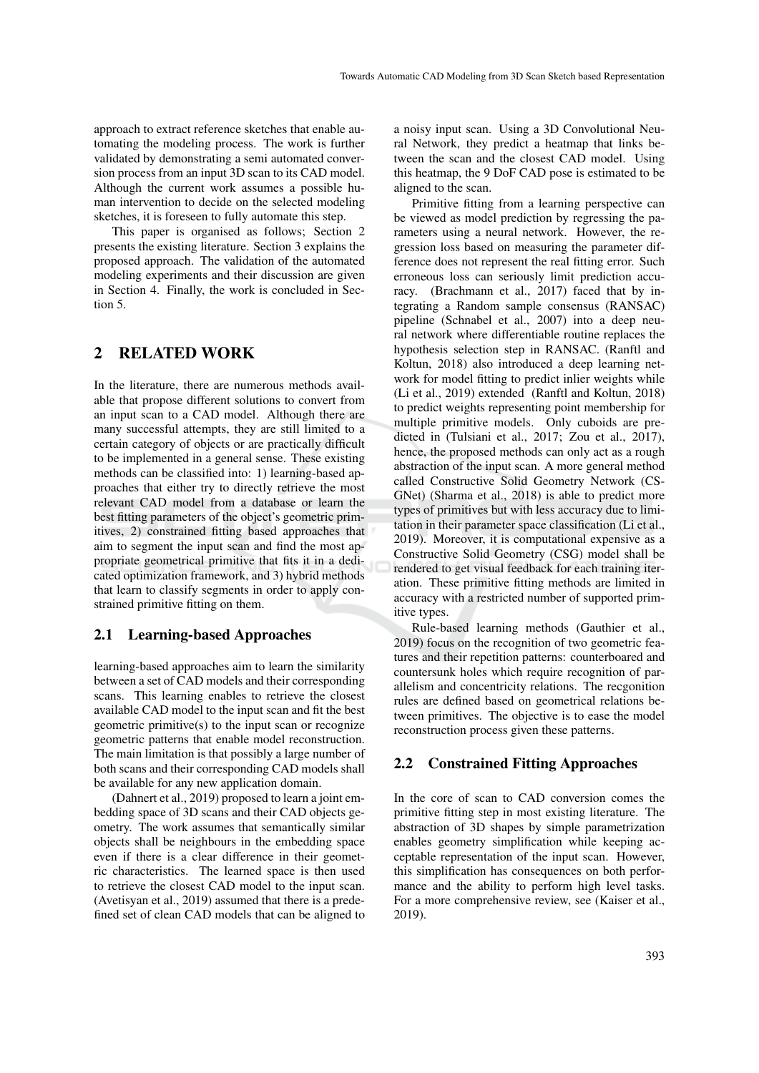approach to extract reference sketches that enable automating the modeling process. The work is further validated by demonstrating a semi automated conversion process from an input 3D scan to its CAD model. Although the current work assumes a possible human intervention to decide on the selected modeling sketches, it is foreseen to fully automate this step.

This paper is organised as follows; Section 2 presents the existing literature. Section 3 explains the proposed approach. The validation of the automated modeling experiments and their discussion are given in Section 4. Finally, the work is concluded in Section 5.

### 2 RELATED WORK

In the literature, there are numerous methods available that propose different solutions to convert from an input scan to a CAD model. Although there are many successful attempts, they are still limited to a certain category of objects or are practically difficult to be implemented in a general sense. These existing methods can be classified into: 1) learning-based approaches that either try to directly retrieve the most relevant CAD model from a database or learn the best fitting parameters of the object's geometric primitives, 2) constrained fitting based approaches that aim to segment the input scan and find the most appropriate geometrical primitive that fits it in a dedicated optimization framework, and 3) hybrid methods that learn to classify segments in order to apply constrained primitive fitting on them.

#### 2.1 Learning-based Approaches

learning-based approaches aim to learn the similarity between a set of CAD models and their corresponding scans. This learning enables to retrieve the closest available CAD model to the input scan and fit the best geometric primitive(s) to the input scan or recognize geometric patterns that enable model reconstruction. The main limitation is that possibly a large number of both scans and their corresponding CAD models shall be available for any new application domain.

(Dahnert et al., 2019) proposed to learn a joint embedding space of 3D scans and their CAD objects geometry. The work assumes that semantically similar objects shall be neighbours in the embedding space even if there is a clear difference in their geometric characteristics. The learned space is then used to retrieve the closest CAD model to the input scan. (Avetisyan et al., 2019) assumed that there is a predefined set of clean CAD models that can be aligned to

a noisy input scan. Using a 3D Convolutional Neural Network, they predict a heatmap that links between the scan and the closest CAD model. Using this heatmap, the 9 DoF CAD pose is estimated to be aligned to the scan.

Primitive fitting from a learning perspective can be viewed as model prediction by regressing the parameters using a neural network. However, the regression loss based on measuring the parameter difference does not represent the real fitting error. Such erroneous loss can seriously limit prediction accuracy. (Brachmann et al., 2017) faced that by integrating a Random sample consensus (RANSAC) pipeline (Schnabel et al., 2007) into a deep neural network where differentiable routine replaces the hypothesis selection step in RANSAC. (Ranftl and Koltun, 2018) also introduced a deep learning network for model fitting to predict inlier weights while (Li et al., 2019) extended (Ranftl and Koltun, 2018) to predict weights representing point membership for multiple primitive models. Only cuboids are predicted in (Tulsiani et al., 2017; Zou et al., 2017), hence, the proposed methods can only act as a rough abstraction of the input scan. A more general method called Constructive Solid Geometry Network (CS-GNet) (Sharma et al., 2018) is able to predict more types of primitives but with less accuracy due to limitation in their parameter space classification (Li et al., 2019). Moreover, it is computational expensive as a Constructive Solid Geometry (CSG) model shall be rendered to get visual feedback for each training iteration. These primitive fitting methods are limited in accuracy with a restricted number of supported primitive types.

Rule-based learning methods (Gauthier et al., 2019) focus on the recognition of two geometric features and their repetition patterns: counterboared and countersunk holes which require recognition of parallelism and concentricity relations. The recgonition rules are defined based on geometrical relations between primitives. The objective is to ease the model reconstruction process given these patterns.

### 2.2 Constrained Fitting Approaches

In the core of scan to CAD conversion comes the primitive fitting step in most existing literature. The abstraction of 3D shapes by simple parametrization enables geometry simplification while keeping acceptable representation of the input scan. However, this simplification has consequences on both performance and the ability to perform high level tasks. For a more comprehensive review, see (Kaiser et al., 2019).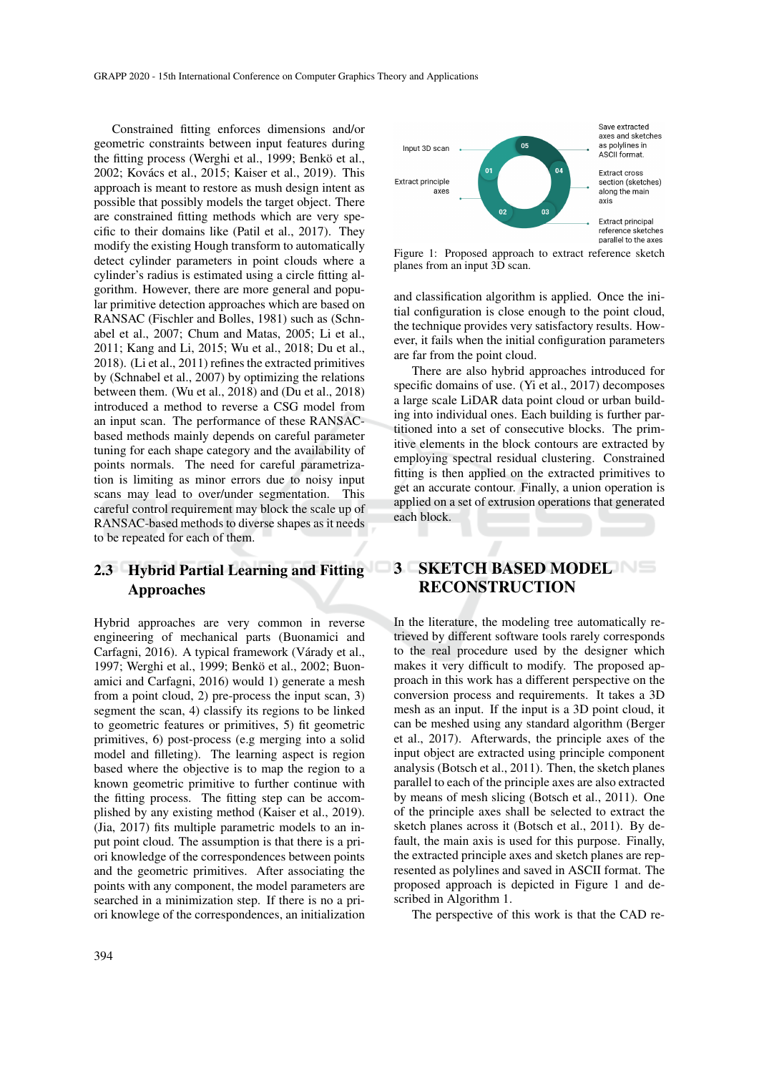Constrained fitting enforces dimensions and/or geometric constraints between input features during the fitting process (Werghi et al., 1999; Benkö et al., 2002; Kovács et al., 2015; Kaiser et al., 2019). This approach is meant to restore as mush design intent as possible that possibly models the target object. There are constrained fitting methods which are very specific to their domains like (Patil et al., 2017). They modify the existing Hough transform to automatically detect cylinder parameters in point clouds where a cylinder's radius is estimated using a circle fitting algorithm. However, there are more general and popular primitive detection approaches which are based on RANSAC (Fischler and Bolles, 1981) such as (Schnabel et al., 2007; Chum and Matas, 2005; Li et al., 2011; Kang and Li, 2015; Wu et al., 2018; Du et al., 2018). (Li et al., 2011) refines the extracted primitives by (Schnabel et al., 2007) by optimizing the relations between them. (Wu et al., 2018) and (Du et al., 2018) introduced a method to reverse a CSG model from an input scan. The performance of these RANSACbased methods mainly depends on careful parameter tuning for each shape category and the availability of points normals. The need for careful parametrization is limiting as minor errors due to noisy input scans may lead to over/under segmentation. This careful control requirement may block the scale up of RANSAC-based methods to diverse shapes as it needs to be repeated for each of them.

## 2.3 Hybrid Partial Learning and Fitting Approaches

Hybrid approaches are very common in reverse engineering of mechanical parts (Buonamici and Carfagni, 2016). A typical framework (Várady et al., 1997; Werghi et al., 1999; Benkö et al., 2002; Buonamici and Carfagni, 2016) would 1) generate a mesh from a point cloud, 2) pre-process the input scan, 3) segment the scan, 4) classify its regions to be linked to geometric features or primitives, 5) fit geometric primitives, 6) post-process (e.g merging into a solid model and filleting). The learning aspect is region based where the objective is to map the region to a known geometric primitive to further continue with the fitting process. The fitting step can be accomplished by any existing method (Kaiser et al., 2019). (Jia, 2017) fits multiple parametric models to an input point cloud. The assumption is that there is a priori knowledge of the correspondences between points and the geometric primitives. After associating the points with any component, the model parameters are searched in a minimization step. If there is no a priori knowlege of the correspondences, an initialization



Figure 1: Proposed approach to extract reference sketch planes from an input 3D scan.

and classification algorithm is applied. Once the initial configuration is close enough to the point cloud, the technique provides very satisfactory results. However, it fails when the initial configuration parameters are far from the point cloud.

There are also hybrid approaches introduced for specific domains of use. (Yi et al., 2017) decomposes a large scale LiDAR data point cloud or urban building into individual ones. Each building is further partitioned into a set of consecutive blocks. The primitive elements in the block contours are extracted by employing spectral residual clustering. Constrained fitting is then applied on the extracted primitives to get an accurate contour. Finally, a union operation is applied on a set of extrusion operations that generated each block.

### 3 SKETCH BASED MODEL RECONSTRUCTION

In the literature, the modeling tree automatically retrieved by different software tools rarely corresponds to the real procedure used by the designer which makes it very difficult to modify. The proposed approach in this work has a different perspective on the conversion process and requirements. It takes a 3D mesh as an input. If the input is a 3D point cloud, it can be meshed using any standard algorithm (Berger et al., 2017). Afterwards, the principle axes of the input object are extracted using principle component analysis (Botsch et al., 2011). Then, the sketch planes parallel to each of the principle axes are also extracted by means of mesh slicing (Botsch et al., 2011). One of the principle axes shall be selected to extract the sketch planes across it (Botsch et al., 2011). By default, the main axis is used for this purpose. Finally, the extracted principle axes and sketch planes are represented as polylines and saved in ASCII format. The proposed approach is depicted in Figure 1 and described in Algorithm 1.

The perspective of this work is that the CAD re-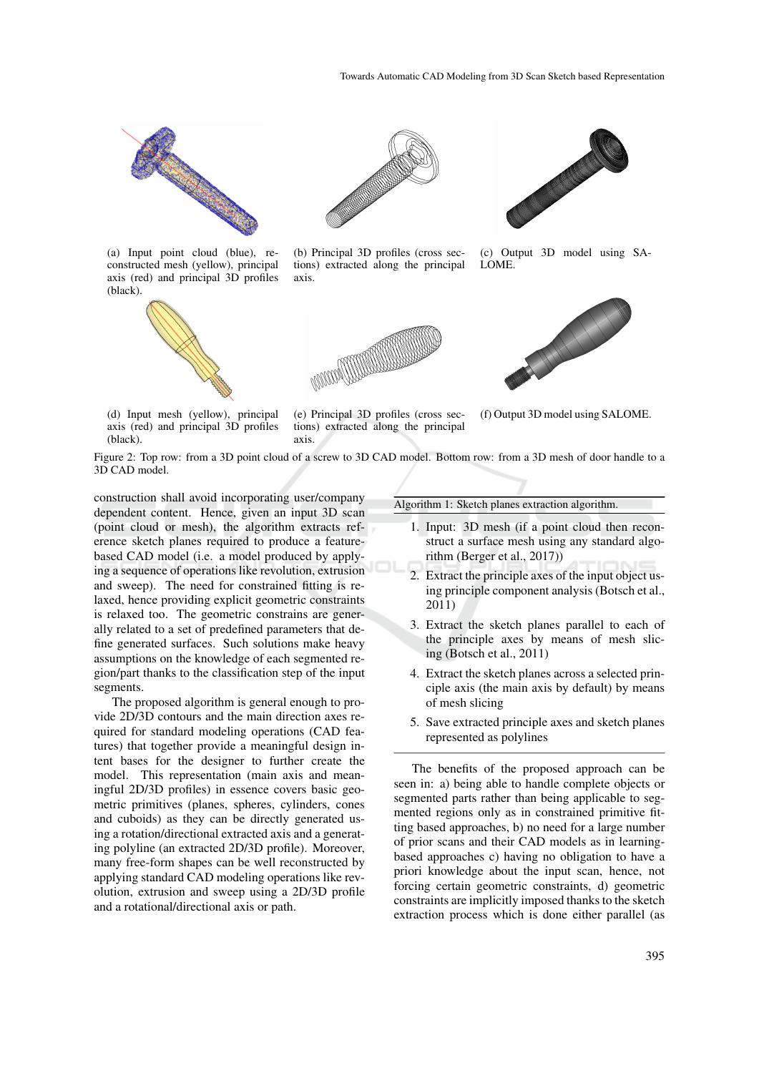

(a) Input point cloud (blue), reconstructed mesh (yellow), principal axis (red) and principal 3D profiles (black).





(b) Principal 3D profiles (cross sections) extracted along the principal axis.





(c) Output 3D model using SA-LOME.



(d) Input mesh (yellow), principal axis (red) and principal 3D profiles (black).

(e) Principal 3D profiles (cross sections) extracted along the principal axis.

(f) Output 3D model using SALOME.

Figure 2: Top row: from a 3D point cloud of a screw to 3D CAD model. Bottom row: from a 3D mesh of door handle to a 3D CAD model.

construction shall avoid incorporating user/company dependent content. Hence, given an input 3D scan (point cloud or mesh), the algorithm extracts reference sketch planes required to produce a featurebased CAD model (i.e. a model produced by applying a sequence of operations like revolution, extrusion and sweep). The need for constrained fitting is relaxed, hence providing explicit geometric constraints is relaxed too. The geometric constrains are generally related to a set of predefined parameters that define generated surfaces. Such solutions make heavy assumptions on the knowledge of each segmented region/part thanks to the classification step of the input segments.

The proposed algorithm is general enough to provide 2D/3D contours and the main direction axes required for standard modeling operations (CAD features) that together provide a meaningful design intent bases for the designer to further create the model. This representation (main axis and meaningful 2D/3D profiles) in essence covers basic geometric primitives (planes, spheres, cylinders, cones and cuboids) as they can be directly generated using a rotation/directional extracted axis and a generating polyline (an extracted 2D/3D profile). Moreover, many free-form shapes can be well reconstructed by applying standard CAD modeling operations like revolution, extrusion and sweep using a 2D/3D profile and a rotational/directional axis or path.

Algorithm 1: Sketch planes extraction algorithm.

- 1. Input: 3D mesh (if a point cloud then reconstruct a surface mesh using any standard algorithm (Berger et al., 2017))
- 2. Extract the principle axes of the input object using principle component analysis (Botsch et al., 2011)
- 3. Extract the sketch planes parallel to each of the principle axes by means of mesh slicing (Botsch et al., 2011)
- 4. Extract the sketch planes across a selected principle axis (the main axis by default) by means of mesh slicing
- 5. Save extracted principle axes and sketch planes represented as polylines

The benefits of the proposed approach can be seen in: a) being able to handle complete objects or segmented parts rather than being applicable to segmented regions only as in constrained primitive fitting based approaches, b) no need for a large number of prior scans and their CAD models as in learningbased approaches c) having no obligation to have a priori knowledge about the input scan, hence, not forcing certain geometric constraints, d) geometric constraints are implicitly imposed thanks to the sketch extraction process which is done either parallel (as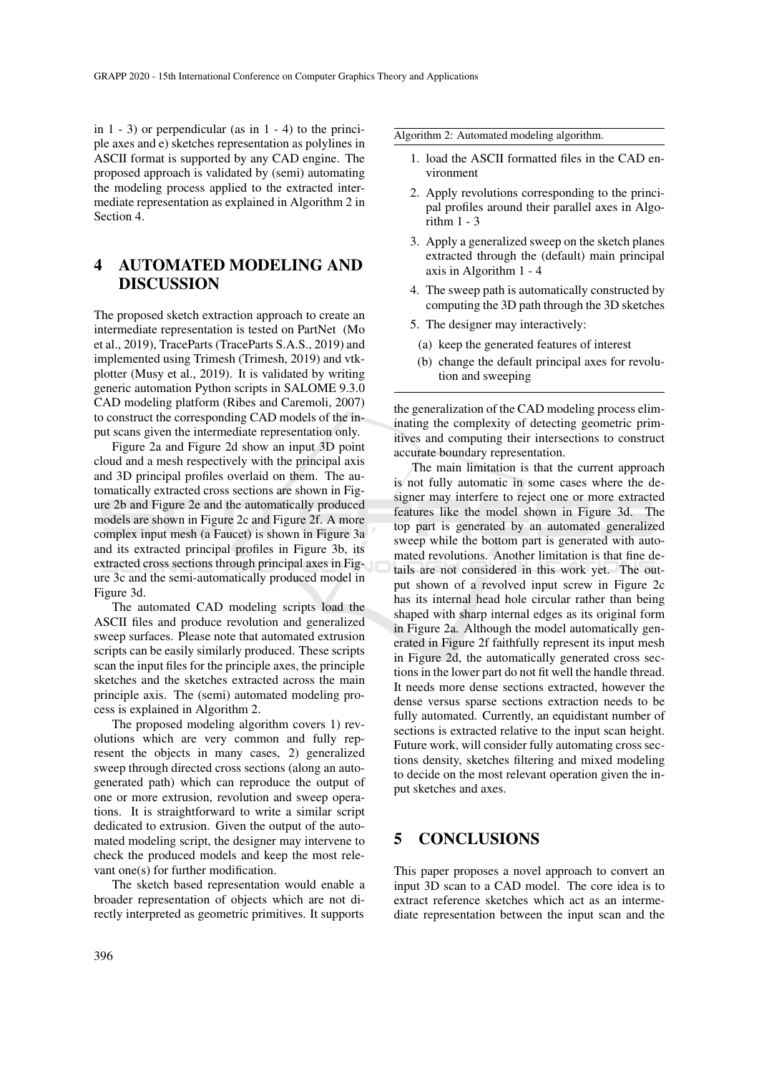in  $1 - 3$ ) or perpendicular (as in  $1 - 4$ ) to the principle axes and e) sketches representation as polylines in ASCII format is supported by any CAD engine. The proposed approach is validated by (semi) automating the modeling process applied to the extracted intermediate representation as explained in Algorithm 2 in Section 4.

## 4 AUTOMATED MODELING AND DISCUSSION

The proposed sketch extraction approach to create an intermediate representation is tested on PartNet (Mo et al., 2019), TraceParts (TraceParts S.A.S., 2019) and implemented using Trimesh (Trimesh, 2019) and vtkplotter (Musy et al., 2019). It is validated by writing generic automation Python scripts in SALOME 9.3.0 CAD modeling platform (Ribes and Caremoli, 2007) to construct the corresponding CAD models of the input scans given the intermediate representation only.

Figure 2a and Figure 2d show an input 3D point cloud and a mesh respectively with the principal axis and 3D principal profiles overlaid on them. The automatically extracted cross sections are shown in Figure 2b and Figure 2e and the automatically produced models are shown in Figure 2c and Figure 2f. A more complex input mesh (a Faucet) is shown in Figure 3a and its extracted principal profiles in Figure 3b, its extracted cross sections through principal axes in Figure 3c and the semi-automatically produced model in Figure 3d.

The automated CAD modeling scripts load the ASCII files and produce revolution and generalized sweep surfaces. Please note that automated extrusion scripts can be easily similarly produced. These scripts scan the input files for the principle axes, the principle sketches and the sketches extracted across the main principle axis. The (semi) automated modeling process is explained in Algorithm 2.

The proposed modeling algorithm covers 1) revolutions which are very common and fully represent the objects in many cases, 2) generalized sweep through directed cross sections (along an autogenerated path) which can reproduce the output of one or more extrusion, revolution and sweep operations. It is straightforward to write a similar script dedicated to extrusion. Given the output of the automated modeling script, the designer may intervene to check the produced models and keep the most relevant one(s) for further modification.

The sketch based representation would enable a broader representation of objects which are not directly interpreted as geometric primitives. It supports

- 1. load the ASCII formatted files in the CAD environment
- 2. Apply revolutions corresponding to the principal profiles around their parallel axes in Algorithm  $1 - 3$
- 3. Apply a generalized sweep on the sketch planes extracted through the (default) main principal axis in Algorithm 1 - 4
- 4. The sweep path is automatically constructed by computing the 3D path through the 3D sketches
- 5. The designer may interactively:
	- (a) keep the generated features of interest
	- (b) change the default principal axes for revolution and sweeping

the generalization of the CAD modeling process eliminating the complexity of detecting geometric primitives and computing their intersections to construct accurate boundary representation.

The main limitation is that the current approach is not fully automatic in some cases where the designer may interfere to reject one or more extracted features like the model shown in Figure 3d. The top part is generated by an automated generalized sweep while the bottom part is generated with automated revolutions. Another limitation is that fine details are not considered in this work yet. The output shown of a revolved input screw in Figure 2c has its internal head hole circular rather than being shaped with sharp internal edges as its original form in Figure 2a. Although the model automatically generated in Figure 2f faithfully represent its input mesh in Figure 2d, the automatically generated cross sections in the lower part do not fit well the handle thread. It needs more dense sections extracted, however the dense versus sparse sections extraction needs to be fully automated. Currently, an equidistant number of sections is extracted relative to the input scan height. Future work, will consider fully automating cross sections density, sketches filtering and mixed modeling to decide on the most relevant operation given the input sketches and axes.

### 5 CONCLUSIONS

This paper proposes a novel approach to convert an input 3D scan to a CAD model. The core idea is to extract reference sketches which act as an intermediate representation between the input scan and the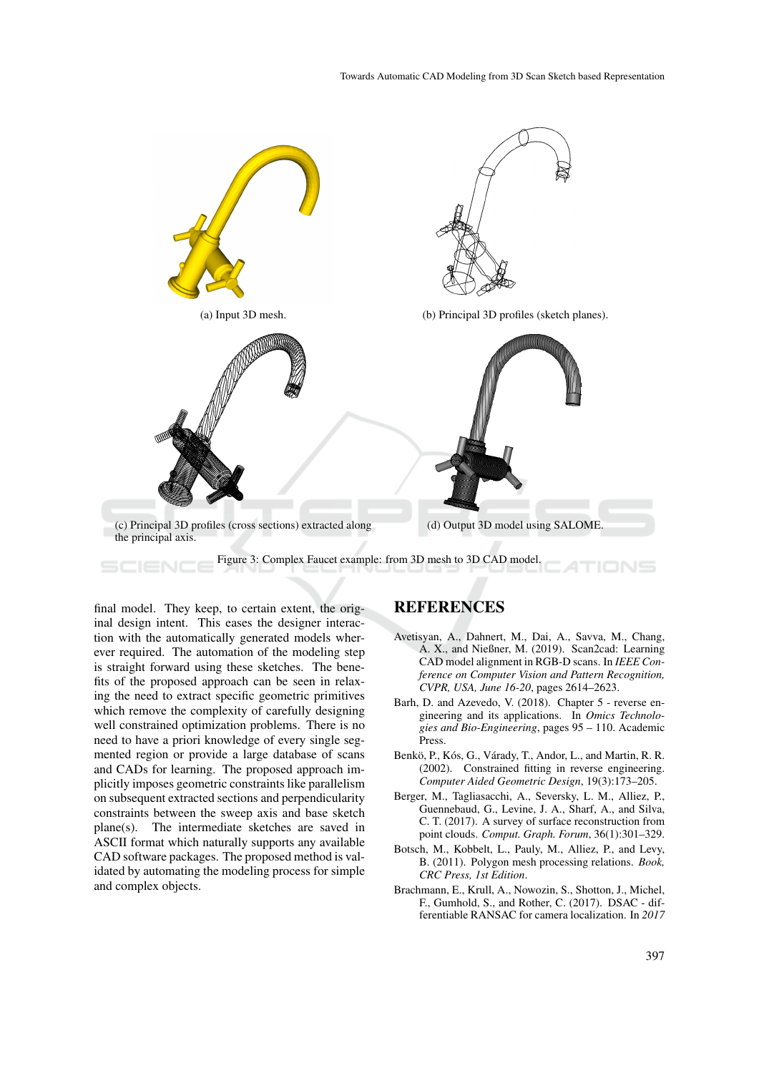

final model. They keep, to certain extent, the original design intent. This eases the designer interaction with the automatically generated models wherever required. The automation of the modeling step is straight forward using these sketches. The benefits of the proposed approach can be seen in relaxing the need to extract specific geometric primitives which remove the complexity of carefully designing well constrained optimization problems. There is no need to have a priori knowledge of every single segmented region or provide a large database of scans and CADs for learning. The proposed approach implicitly imposes geometric constraints like parallelism on subsequent extracted sections and perpendicularity constraints between the sweep axis and base sketch plane(s). The intermediate sketches are saved in ASCII format which naturally supports any available CAD software packages. The proposed method is validated by automating the modeling process for simple and complex objects.

### **REFERENCES**

- Avetisyan, A., Dahnert, M., Dai, A., Savva, M., Chang, A. X., and Nießner, M. (2019). Scan2cad: Learning CAD model alignment in RGB-D scans. In *IEEE Conference on Computer Vision and Pattern Recognition, CVPR, USA, June 16-20*, pages 2614–2623.
- Barh, D. and Azevedo, V. (2018). Chapter 5 reverse engineering and its applications. In *Omics Technologies and Bio-Engineering*, pages 95 – 110. Academic Press.
- Benkö, P., Kós, G., Várady, T., Andor, L., and Martin, R. R. (2002). Constrained fitting in reverse engineering. *Computer Aided Geometric Design*, 19(3):173–205.
- Berger, M., Tagliasacchi, A., Seversky, L. M., Alliez, P., Guennebaud, G., Levine, J. A., Sharf, A., and Silva, C. T. (2017). A survey of surface reconstruction from point clouds. *Comput. Graph. Forum*, 36(1):301–329.
- Botsch, M., Kobbelt, L., Pauly, M., Alliez, P., and Levy, B. (2011). Polygon mesh processing relations. *Book, CRC Press, 1st Edition*.
- Brachmann, E., Krull, A., Nowozin, S., Shotton, J., Michel, F., Gumhold, S., and Rother, C. (2017). DSAC - differentiable RANSAC for camera localization. In *2017*